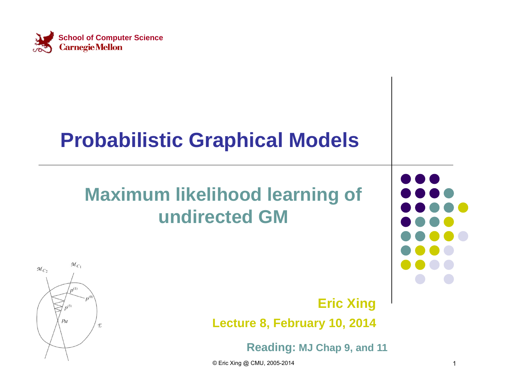

#### **Probabilistic Graphical Models**

#### **Maximum likelihood learning of undirected GM**



**Eric Xing Lecture 8, February 10, 2014**

**Reading: MJ Chap 9, and 11**

© Eric Xing @ CMU, 2005-2014 1

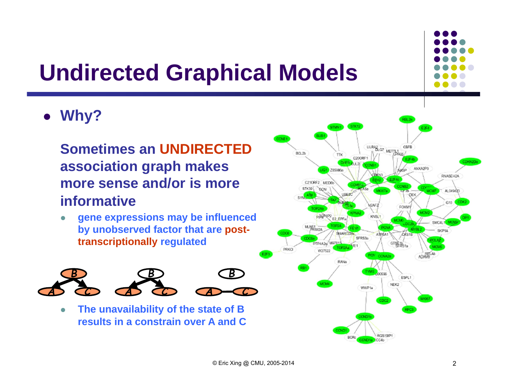#### **Undirected Graphical Models**



**Why?** 

#### **Sometimes an UNDIRECTEDassociation graph makes more sense and/or is more informative**

 $\bullet$  **gene expressions may be influenced by unobserved factor that are posttranscriptionally regulated**



 $\bullet$  **The unavailability of the state of B results in a constrain over A and C**

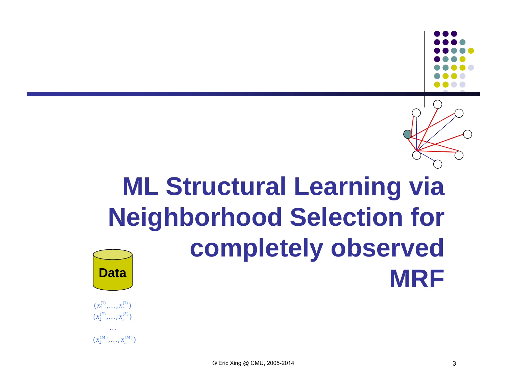

# **ML Structural Learning via Neighborhood Selection for completely observed Data**



 $(x_1^{(M)}, \ldots, x_n^{(M)})$  $x_1^{(M)}, \ldots, x_n$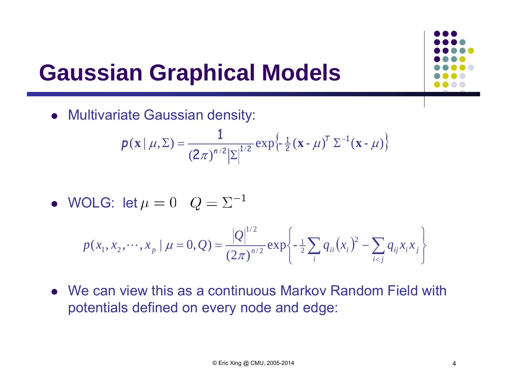#### **Gaussian Graphical Models**

Multivariate Gaussian density:

$$
p(\mathbf{x} \mid \mu, \Sigma) = \frac{1}{(2\pi)^{n/2} |\Sigma|^{1/2}} \exp\left\{-\frac{1}{2}(\mathbf{x} - \mu)^T \Sigma^{-1}(\mathbf{x} - \mu)\right\}
$$

• WOLG: let 
$$
\mu = 0
$$
  $Q = \Sigma^{-1}$ 

$$
p(x_1, x_2, \cdots, x_p \mid \mu = 0, Q) = \frac{|Q|^{1/2}}{(2\pi)^{n/2}} \exp \left\{-\frac{1}{2} \sum_i q_{ii}(x_i)^2 - \sum_{i < j} q_{ij} x_i x_j\right\}
$$

 We can view this as a continuous Markov Random Field with potentials defined on every node and edge: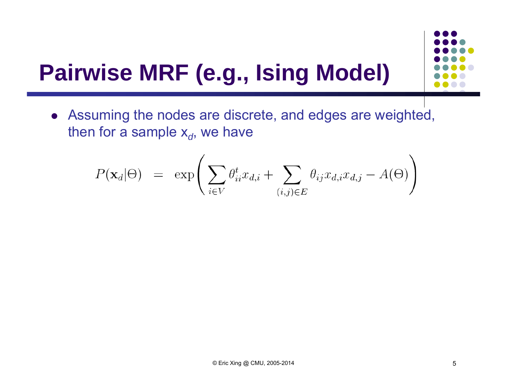# **Pairwise MRF (e.g., Ising Model)**

 Assuming the nodes are discrete, and edges are weighted, then for a sample x<sub>d</sub>, we have

$$
P(\mathbf{x}_d|\Theta) = \exp\left(\sum_{i \in V} \theta_{ii}^t x_{d,i} + \sum_{(i,j) \in E} \theta_{ij} x_{d,i} x_{d,j} - A(\Theta)\right)
$$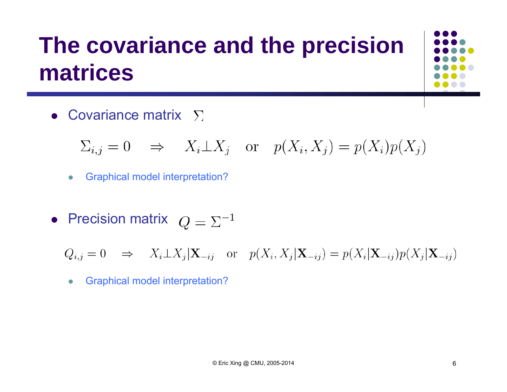#### **The covariance and the precision matrices**

Covariance matrix

$$
\Sigma_{i,j} = 0 \Rightarrow X_i \perp X_j
$$
 or  $p(X_i, X_j) = p(X_i)p(X_j)$ 

- $\bullet$ Graphical model interpretation?
- Precision matrix

 $Q_{i,j} = 0 \Rightarrow X_i \perp X_j | \mathbf{X}_{-ij}$  or  $p(X_i, X_j | \mathbf{X}_{-ij}) = p(X_i | \mathbf{X}_{-ij}) p(X_j | \mathbf{X}_{-ij})$ 

 $\bullet$ Graphical model interpretation?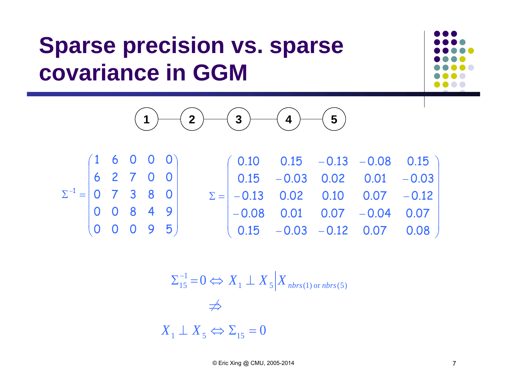#### **Sparse precision vs. sparse covariance in GGM**





|                                                                 |  | (1 6 0 0 0)                                       |  |  | $(0.10 \t 0.15 \t -0.13 \t -0.08 \t 0.15)$                         |  |  |
|-----------------------------------------------------------------|--|---------------------------------------------------|--|--|--------------------------------------------------------------------|--|--|
|                                                                 |  | 62700                                             |  |  | $\begin{vmatrix} 0.15 & -0.03 & 0.02 & 0.01 & -0.03 \end{vmatrix}$ |  |  |
| $\Sigma^{-1} = \begin{vmatrix} 0 & 7 & 3 & 8 & 0 \end{vmatrix}$ |  |                                                   |  |  | $\Sigma =$ -0.13 0.02 0.10 0.07 -0.12                              |  |  |
|                                                                 |  | $ 0 \t0 \t8 \t4 \t9$                              |  |  | $-0.08$ 0.01 0.07 -0.04 0.07                                       |  |  |
|                                                                 |  | $\begin{pmatrix} 0 & 0 & 0 & 9 & 5 \end{pmatrix}$ |  |  | $(0.15 -0.03 -0.12 0.07 0.08)$                                     |  |  |

$$
\Sigma_{15}^{-1} = 0 \Leftrightarrow X_1 \perp X_5 | X_{nbrs(1) \text{ or } nbrs(5)}
$$
  

$$
\Leftrightarrow
$$
  

$$
X_1 \perp X_5 \Leftrightarrow \Sigma_{15} = 0
$$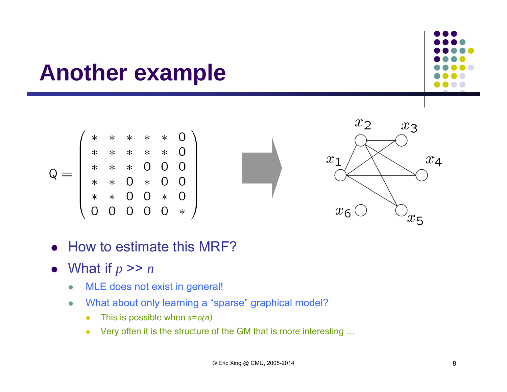#### **Another example**



$$
\overrightarrow{a}
$$



- $\bullet$ How to estimate this MRF?
- What if  $p \gg n$ 
	- $\bullet$ MLE does not exist in general!
	- $\bullet$  What about only learning a "sparse" graphical model?
		- This is possible when *s=o(n)*
		- Very often it is the structure of the GM that is more interesting …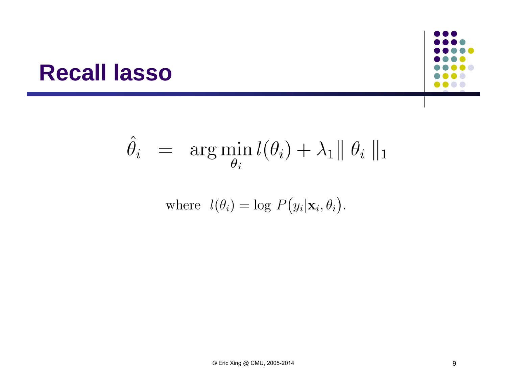#### **Recall lasso**

$$
\hat{\theta}_i = \arg \min_{\theta_i} l(\theta_i) + \lambda_1 || \theta_i ||_1
$$

where  $l(\theta_i) = \log P(y_i|\mathbf{x}_i, \theta_i)$ .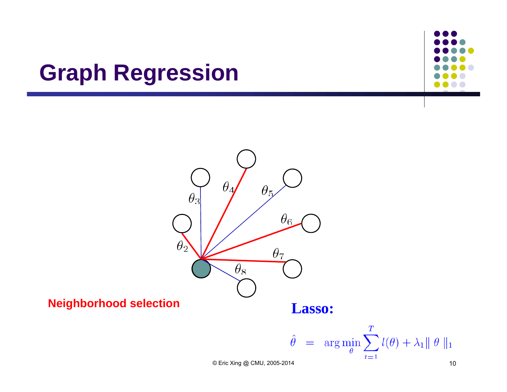#### **Graph Regression**



**Neighborhood selection**

**Lasso:**

$$
\hat{\theta} = \arg\min_{\theta} \sum_{t=1}^{T} l(\theta) + \lambda_1 || \theta ||_1
$$

© Eric Xing @ CMU, 2005-2014 10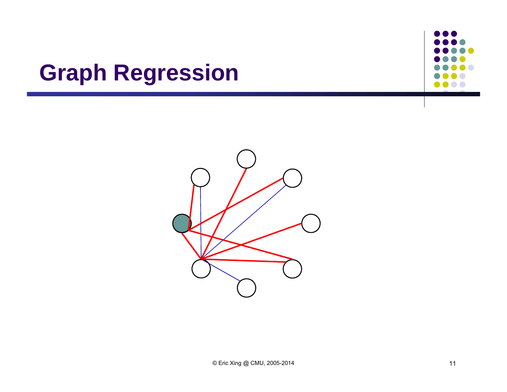#### **Graph Regression**

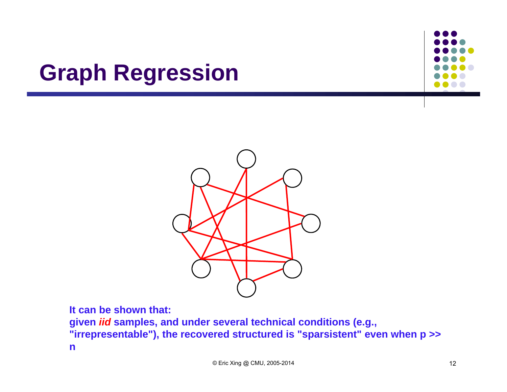#### **Graph Regression**





**It can be shown that:**

**given** *iid* **samples, and under several technical conditions (e.g., "irrepresentable"), the recovered structured is "sparsistent" even when p >> n**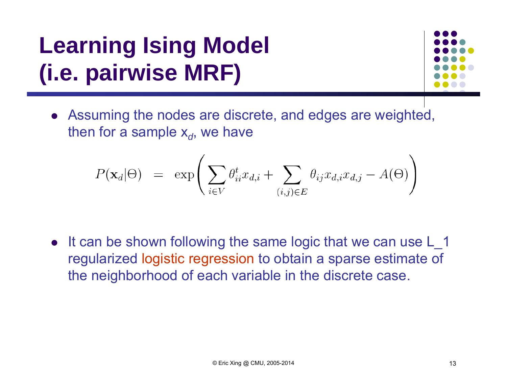# **Learning Ising Model (i.e. pairwise MRF)**



 Assuming the nodes are discrete, and edges are weighted, then for a sample x<sub>d</sub>, we have

$$
P(\mathbf{x}_d | \Theta) = \exp \left( \sum_{i \in V} \theta_{ii}^t x_{d,i} + \sum_{(i,j) \in E} \theta_{ij} x_{d,i} x_{d,j} - A(\Theta) \right)
$$

• It can be shown following the same logic that we can use L\_1 regularized logistic regression to obtain a sparse estimate of the neighborhood of each variable in the discrete case.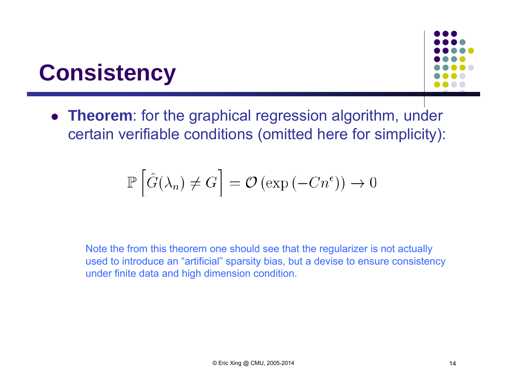#### **Consistency**



 **Theorem**: for the graphical regression algorithm, under certain verifiable conditions (omitted here for simplicity):

$$
\mathbb{P}\left[\hat{G}(\lambda_n) \neq G\right] = \mathcal{O}\left(\exp\left(-Cn^{\epsilon}\right)\right) \to 0
$$

Note the from this theorem one should see that the regularizer is not actually used to introduce an "artificial" sparsity bias, but a devise to ensure consistency under finite data and high dimension condition.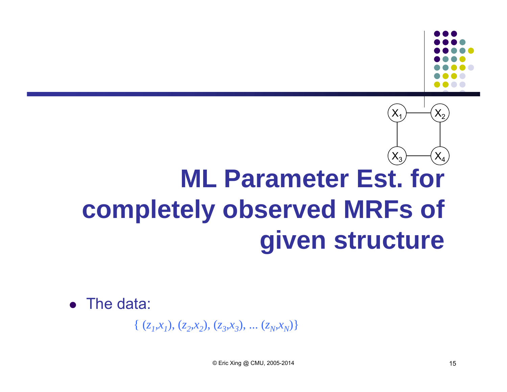#### **ML Parameter Est. for completely observed MRFs of given structure**  $\mathsf{X}_1$  $\mathsf{X}_3$  $\mathsf{X}_4$  $\mathsf{X}_2$

• The data:

 $\{ (z_1, x_1), (z_2, x_2), (z_3, x_3), \dots (z_N, x_N) \}$ 

 $© Eric Xing @ CMU, 2005-2014$  15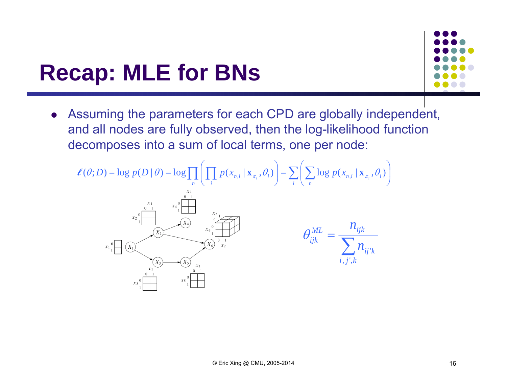#### **Recap: MLE for BNs**



 Assuming the parameters for each CPD are globally independent, and all nodes are fully observed, then the log-likelihood function decomposes into a sum of local terms, one per node:

$$
\ell(\theta; D) = \log p(D | \theta) = \log \prod_{n} \left( \prod_{i} p(x_{n,i} | \mathbf{x}_{\pi_i}, \theta_i) \right) = \sum_{i} \left( \sum_{n} \log p(x_{n,i} | \mathbf{x}_{\pi_i}, \theta_i) \right)
$$
  

$$
\sum_{x_1 \circ \text{min}} \sum_{x_2 \circ \text{min}} \frac{x_1}{x_2} \cdot \frac{x_1 \circ \text{min}}{\sqrt{x_2}} \cdot \frac{x_2 \circ \text{min}}{\sqrt{x_3} \cdot \sqrt{x_4}} \cdot \frac{x_3 \circ \text{min}}{\sqrt{x_4 \cdot \sqrt{x_5} \cdot \sqrt{x_2}} \cdot \sqrt{x_5 \cdot \sqrt{x_6}} \cdot \frac{x_1}{x_2}} \cdot \frac{x_5 \circ \text{min}}{\sqrt{x_6 \cdot \sqrt{x_7}} \cdot \sqrt{x_7}} \cdot \frac{x_6 \circ \text{min}}{\sqrt{x_7 \cdot \sqrt{x_7}} \cdot \sqrt{x_8 \cdot \sqrt{x_9}} \cdot \frac{x_9 \circ \text{min}}{\sqrt{x_9 \cdot \sqrt{x_9}} \cdot \sqrt{x_9 \cdot \sqrt{x_9}} \cdot \frac{x_1 \circ \text{min}}{\sqrt{x_9 \cdot \sqrt{x_9}} \cdot \sqrt{x_9 \cdot \sqrt{x_9}} \cdot \frac{x_1 \circ \text{min}}{\sqrt{x_9 \cdot \sqrt{x_9}} \cdot \sqrt{x_9 \cdot \sqrt{x_9}} \cdot \frac{x_1 \circ \text{min}}{\sqrt{x_9 \cdot \sqrt{x_9}} \cdot \sqrt{x_9 \cdot \sqrt{x_9}} \cdot \frac{x_1 \circ \text{min}}{\sqrt{x_9 \cdot \sqrt{x_9}} \cdot \sqrt{x_9 \cdot \sqrt{x_9}} \cdot \frac{x_1 \circ \text{min}}{\sqrt{x_9 \cdot \sqrt{x_9}} \cdot \sqrt{x_9 \cdot \sqrt{x_9}} \cdot \frac{x_1 \circ \text{min}}{\sqrt{x_9 \cdot \sqrt{x_9}} \cdot \sqrt{x_9 \cdot \sqrt{x_9}} \cdot \frac{x_1 \circ \text{min}}{\sqrt{x_9 \cdot \sqrt{x_9}} \cdot \sqrt{x_9 \cdot \sqrt{x_9}} \cdot \frac{x_1 \circ \text{min}}{\sqrt{x_9 \cdot \sqrt{x_9}} \cdot \sqrt{x_9 \cdot \sqrt{x_9}} \cdot \frac{x_1 \circ \text{min}}{\sqrt{x_9 \cdot \sqrt{x_9}} \cdot \sqrt{x_9 \cdot \sqrt{x_9}} \cdot \frac{x_1 \circ \text{min}}{\
$$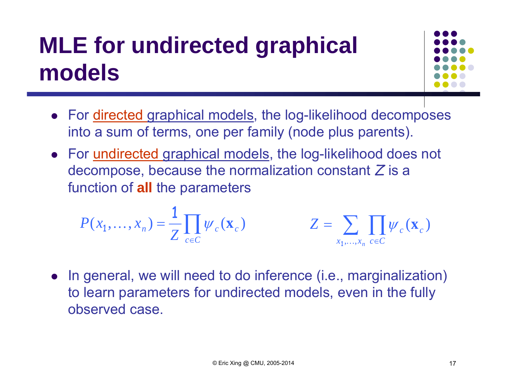# **MLE for undirected graphical models**



- For <u>directed graphical models</u>, the log-likelihood decomposes into a sum of terms, one per family (node plus parents).
- For <u>undirected graphical models</u>, the log-likelihood does not decompose, because the normalization constant *Z* is a function of **all** the parameters

$$
P(x_1, \ldots, x_n) = \frac{1}{Z} \prod_{c \in C} \psi_c(\mathbf{x}_c) \qquad Z = \sum_{x_1, \ldots, x_n} \prod_{c \in C} \psi_c(\mathbf{x}_c)
$$

• In general, we will need to do inference (i.e., marginalization) to learn parameters for undirected models, even in the fully observed case.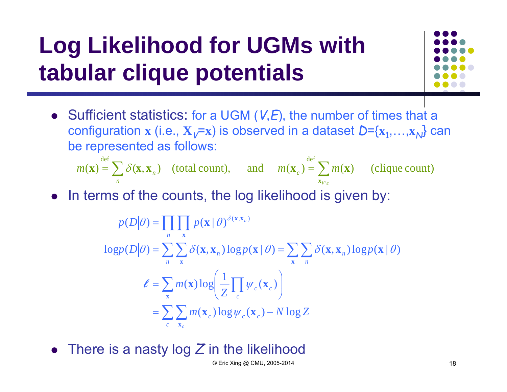# **Log Likelihood for UGMs with tabular clique potentials**



• Sufficient statistics: for a UGM (*V*,*E*), the number of times that a configuration **x** (i.e.,  $\mathbf{X}_V$ =x) is observed in a dataset  $D$ ={ $\mathbf{x}_1, \ldots, \mathbf{x}_N$ } can be represented as follows:

 $= \sum$  $= \sum$ *Vv* ∖*c*  $m(\mathbf{X}) = \sum_{n} o(\mathbf{X}, \mathbf{X}_n)$  (total count), and  $m(\mathbf{X}_c) = \sum_{n} m$  $\mathbf{x}_V$  $f(\mathbf{x}) = \sum \delta(\mathbf{x}, \mathbf{x}_n)$  (total count), and  $m(\mathbf{x}_c) = \sum m(\mathbf{x})$  (clique count) def define the control of the control of the control of the control of the control of the control of the control of the control of the control of the control of the control of the control of the control of the control of t **x** $\mathbf{x} = \sum \delta(\mathbf{x}, \mathbf{x}_n)$  (total count), and  $m(\mathbf{x}_n) = \sum m(\mathbf{x}_n)$ 

• In terms of the counts, the log likelihood is given by:

$$
p(D|\theta) = \prod_{n} \prod_{\mathbf{x}} p(\mathbf{x} | \theta)^{\delta(\mathbf{x}, \mathbf{x}_n)}
$$
  
\n
$$
\log p(D|\theta) = \sum_{n} \sum_{\mathbf{x}} \delta(\mathbf{x}, \mathbf{x}_n) \log p(\mathbf{x} | \theta) = \sum_{\mathbf{x}} \sum_{n} \delta(\mathbf{x}, \mathbf{x}_n) \log p(\mathbf{x} | \theta)
$$
  
\n
$$
\ell = \sum_{\mathbf{x}} m(\mathbf{x}) \log \left( \frac{1}{Z} \prod_{c} \psi_c(\mathbf{x}_c) \right)
$$
  
\n
$$
= \sum_{c} \sum_{\mathbf{x}_c} m(\mathbf{x}_c) \log \psi_c(\mathbf{x}_c) - N \log Z
$$

 $\bullet$ There is a nasty log *Z* in the likelihood

 $© Eric Xing @ CMU, 2005-2014$  18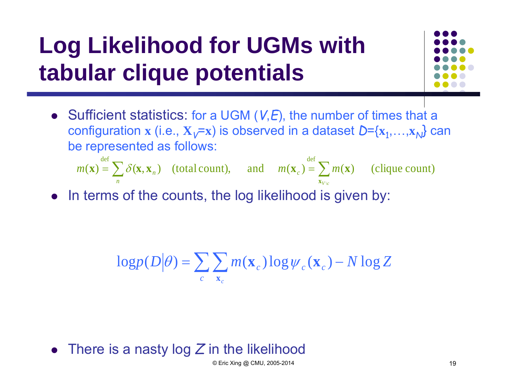## **Log Likelihood for UGMs with tabular clique potentials**



 Sufficient statistics: for a UGM (*V*,*E*), the number of times that a configuration **x** (i.e.,  $X_v=x$ ) is observed in a dataset  $D=\{x_1,...,x_N\}$  can be represented as follows:

 $\equiv$  $=\sum \delta(\mathbf{x}, \mathbf{x}_n)$  (total count), and  $m(\mathbf{x}_c) = \sum$ *Vv* ∖*c*  $m(\mathbf{X}) = \sum_{i} \mathcal{O}(\mathbf{X}, \mathbf{X}_n)$  (total count), and  $m(\mathbf{X}_c) = \sum_{i} m_i$  $\mathbf{x}_V$  $(\mathbf{x}) = \sum \delta(\mathbf{x}, \mathbf{x}_n)$  (total count), and  $m(\mathbf{x}_c) = \sum m(\mathbf{x})$  (clique count) def defines the control of the control of the control of the control of the control of the control of the control of the control of the control of the control of the control of the control of the control of the control of **x** $\mathbf{x} = \sum \delta(\mathbf{x}, \mathbf{x})$  (total count), and  $m(\mathbf{x}) = \sum m(\mathbf{x})$ 

• In terms of the counts, the log likelihood is given by:

$$
\log p(D|\theta) = \sum_{c} \sum_{\mathbf{x}_c} m(\mathbf{x}_c) \log \psi_c(\mathbf{x}_c) - N \log Z
$$

There is a nasty log *Z* in the likelihood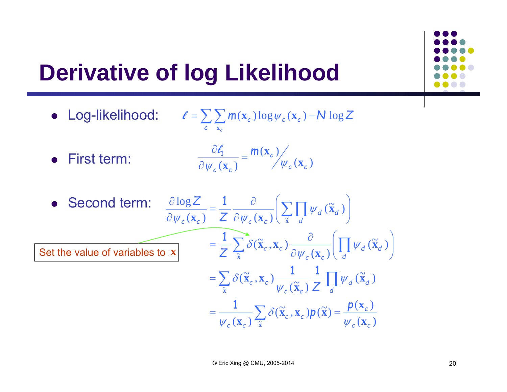# **Derivative of log Likelihood**

- Log-likelihood:  $\ell = \sum \sum m(\mathbf{x}_c) \log \psi_c(\mathbf{x}_c) N \log Z$ *c c*  $=\sum \sum m(\mathbf{x}_c) \log \psi_c(\mathbf{x}_c) - \mathcal{N} \log \psi_c(\mathbf{x}_c)$ **x**  $\ell = \sum_i$   $\sum_i m(\mathbf{x}_c) \log \psi$
- First term:

$$
\frac{\partial \ell_1}{\partial \psi_c(\mathbf{x}_c)} = \frac{m(\mathbf{x}_c)}{\psi_c(\mathbf{x}_c)}
$$

• Second term: 
$$
\frac{\partial \log Z}{\partial \psi_c(\mathbf{x}_c)} = \frac{1}{Z} \frac{\partial}{\partial \psi_c(\mathbf{x}_c)} \left( \sum_{\tilde{\mathbf{x}}} \prod_{d} \psi_d(\tilde{\mathbf{x}}_d) \right)
$$
  
Set the value of variables to  $\tilde{\mathbf{x}}$ 
$$
= \frac{1}{Z} \sum_{\tilde{\mathbf{x}}} \delta(\tilde{\mathbf{x}}_c, \mathbf{x}_c) \frac{\partial}{\partial \psi_c(\mathbf{x}_c)} \left( \prod_{d} \psi_d(\tilde{\mathbf{x}}_d) \right)
$$

$$
= \sum_{\tilde{\mathbf{x}}} \delta(\tilde{\mathbf{x}}_c, \mathbf{x}_c) \frac{1}{\psi_c(\tilde{\mathbf{x}}_c)} \frac{1}{Z} \prod_{d} \psi_d(\tilde{\mathbf{x}}_d)
$$

$$
= \frac{1}{\psi_c(\mathbf{x}_c)} \sum_{\tilde{\mathbf{x}}} \delta(\tilde{\mathbf{x}}_c, \mathbf{x}_c) p(\tilde{\mathbf{x}}) = \frac{p(\mathbf{x}_c)}{\psi_c(\mathbf{x}_c)}
$$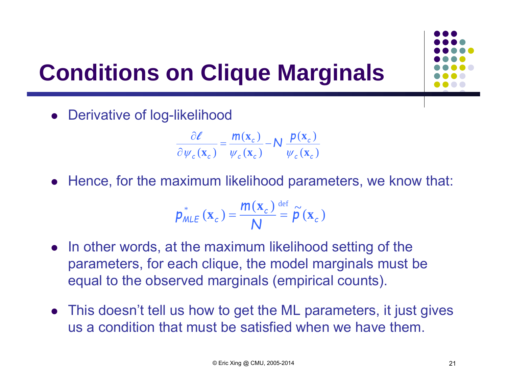

# **Conditions on Clique Marginals**

Derivative of log-likelihood

$$
\frac{\partial \ell}{\partial \psi_c(\mathbf{x}_c)} = \frac{m(\mathbf{x}_c)}{\psi_c(\mathbf{x}_c)} - N \frac{p(\mathbf{x}_c)}{\psi_c(\mathbf{x}_c)}
$$

Hence, for the maximum likelihood parameters, we know that:

$$
p_{MLE}^{*}(\mathbf{x}_{c}) = \frac{m(\mathbf{x}_{c})}{N} \stackrel{\text{def}}{=} \widetilde{\rho}(\mathbf{x}_{c})
$$

- In other words, at the maximum likelihood setting of the parameters, for each clique, the model marginals must be equal to the observed marginals (empirical counts).
- This doesn't tell us how to get the ML parameters, it just gives us a condition that must be satisfied when we have them.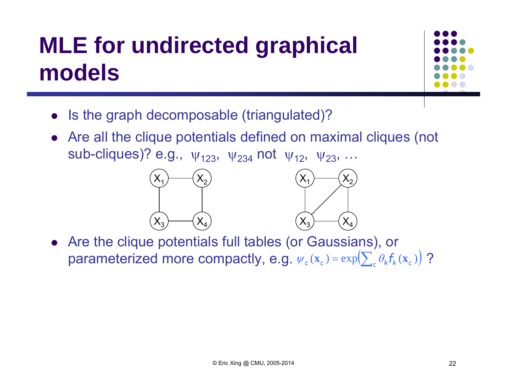# **MLE for undirected graphical models**



- $\bullet$ Is the graph decomposable (triangulated)?
- Are all the clique potentials defined on maximal cliques (not sub-cliques)? e.g.,  $\,\mathsf{\psi}_{123}^{},\, \mathsf{\psi}_{234}^{}$  not  $\,\mathsf{\psi}_{12}^{},\, \mathsf{\psi}_{23}^{},\, ...$



 Are the clique potentials full tables (or Gaussians), or parameterized more compactly, e.g.  $\psi_c(\mathbf{x}_c) = \exp\left(\sum_c \theta_k f_k(\mathbf{x}_c)\right)$ ?  $\bigg)$ 

X4

X2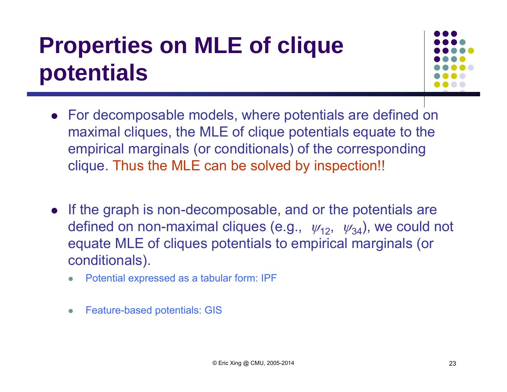### **Properties on MLE of clique potentials**



- For decomposable models, where potentials are defined on maximal cliques, the MLE of clique potentials equate to the empirical marginals (or conditionals) of the corresponding clique. Thus the MLE can be solved by inspection!!
- If the graph is non-decomposable, and or the potentials are defined on non-maximal cliques (e.g.,  $\;\psi_{12},\;\;\psi_{34})$ , we could not equate MLE of cliques potentials to empirical marginals (or conditionals).
	- $\bullet$ Potential expressed as a tabular form: IPF
	- $\bullet$ Feature-based potentials: GIS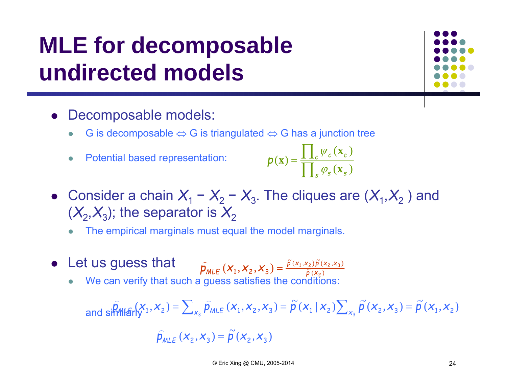# **MLE for decomposable undirected models**

#### Decomposable models:

- $\bullet$ • G is decomposable  $\Leftrightarrow$  G is triangulated  $\Leftrightarrow$  G has a junction tree
- $\bullet$ Potential based representation:

$$
p(\mathbf{x}) = \frac{\prod_{c} \psi_{c}(\mathbf{x}_{c})}{\prod_{s} \varphi_{s}(\mathbf{x}_{s})}
$$

- Consider a chain  $X_1 X_2$   $-X_3$ . The cliques are  $(X_1, X_2)$  and  $(\mathcal{X}_{2}, \mathcal{X}_{3})$ ; the separator is  $\mathcal{X}_{2}$ 
	- $\bullet$ The empirical marginals must equal the model marginals.
- Let us guess that  $({\sf X}_1, {\sf X}_2, {\sf X}_3) = \frac{\tilde{p}(x_1, x_2) \tilde{p}(x_2, x_3)}{\tilde{p}(x_2)}$  $1,$   $\gamma$  2  $,$   $\mu$  (  $\gamma$  2  $,$   $\gamma$  3  $\tilde{p}(x) = \tilde{p}(x)$  $\hat{p}_{MLE}$   $(X_1, X_2, X_3) = \frac{p(X_1, X_2) p(X_2, X_3)}{\tilde{p}(X_2)}$ ⌒
	- $\bullet$ We can verify that such a guess satisfies the conditions:

and 
$$
\sinh(M_{\text{eff}}(X_1, X_2) = \sum_{x_3} \hat{p}_{MLE}(X_1, X_2, X_3) = \tilde{p}(X_1 | X_2) \sum_{x_3} \tilde{p}(X_2, X_3) = \tilde{p}(X_1, X_2)
$$

$$
\hat{p}_{MLE}(x_2, x_3) = \tilde{p}(x_2, x_3)
$$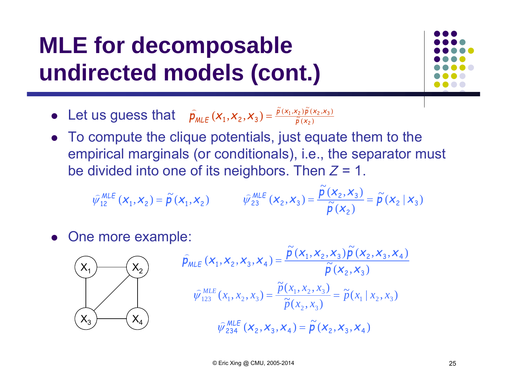### **MLE for decomposable undirected models (cont.)**



- Let us guess that  $\hat{p}_{MLE}(x_1, x_2, x_3) = \frac{\tilde{p}(x_1, x_2)\tilde{p}(x_2, x_3)}{\tilde{p}(x_2)}$ 1,  $\lambda_2$ ,  $\lambda_3$ ) –  $\tilde{p}(x)$  $\hat{p}_{MLE}$   $(X_1, X_2, X_3) = \frac{p(X_1, X_2) p(X_2, X_3)}{\tilde{p}(X_3)}$ ⌒
- To compute the clique potentials, just equate them to the empirical marginals (or conditionals), i.e., the separator must be divided into one of its neighbors. Then *Z* = 1.

$$
\widehat{\psi}_{12}^{\text{MLE}}(x_1, x_2) = \widetilde{p}(x_1, x_2) \qquad \widehat{\psi}_{23}^{\text{MLE}}(x_2, x_3) = \frac{\widetilde{p}(x_2, x_3)}{\widetilde{p}(x_2)} = \widetilde{p}(x_2 | x_3)
$$

• One more example:



$$
\hat{p}_{MLE}(X_1, X_2, X_3, X_4) = \frac{\tilde{p}(X_1, X_2, X_3)\tilde{p}(X_2, X_3, X_4)}{\tilde{p}(X_2, X_3)}
$$
\n
$$
\hat{\psi}_{123}^{MLE}(X_1, X_2, X_3) = \frac{\tilde{p}(X_1, X_2, X_3)}{\tilde{p}(X_2, X_3)} = \tilde{p}(X_1 | X_2, X_3)
$$
\n
$$
\hat{\psi}_{234}^{MLE}(X_2, X_3, X_4) = \tilde{p}(X_2, X_3, X_4)
$$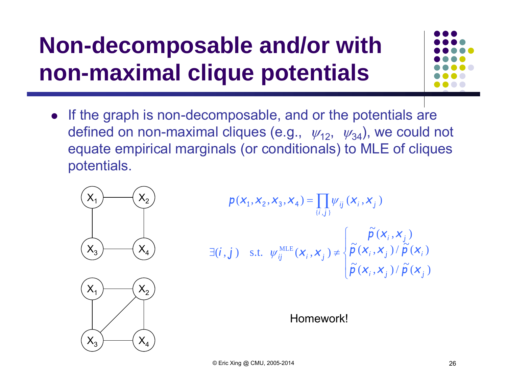# **Non-decomposable and/or with non-maximal clique potentials**



 $\bullet$  If the graph is non-decomposable, and or the potentials are defined on non-maximal cliques (e.g.,  $\;\psi_{12},\;\;\psi_{34})$ , we could not equate empirical marginals (or conditionals) to MLE of cliques potentials.



$$
p(x_1, x_2, x_3, x_4) = \prod_{\{i,j\}} \psi_{ij} (x_i, x_j)
$$
  

$$
\exists (i, j) \text{ s.t. } \psi_{ij}^{\text{MLE}}(x_i, x_j) \neq \begin{cases} \tilde{p}(x_i, x_j) \\ \tilde{p}(x_i, x_j) / \tilde{p}(x_i) \end{cases}
$$



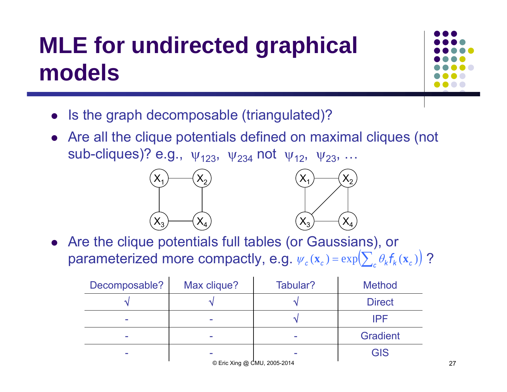# **MLE for undirected graphical models**



- Is the graph decomposable (triangulated)?
- Are all the clique potentials defined on maximal cliques (not sub-cliques)? e.g.,  $\,\mathsf{\psi}_{123}^{},\, \mathsf{\psi}_{234}^{}$  not  $\,\mathsf{\psi}_{12}^{},\, \mathsf{\psi}_{23}^{},\, ...$





 Are the clique potentials full tables (or Gaussians), or parameterized more compactly, e.g.  $\psi_c(\mathbf{x}_c) = \exp\left(\sum_c \theta_k f_k(\mathbf{x}_c)\right)$ ?  $\big)$ 

| Decomposable? | Max clique?                  | Tabular? | <b>Method</b>   |    |
|---------------|------------------------------|----------|-----------------|----|
|               |                              |          | <b>Direct</b>   |    |
|               |                              |          | <b>IPF</b>      |    |
|               |                              |          | <b>Gradient</b> |    |
|               |                              |          | <b>GIS</b>      |    |
|               | © Eric Xing @ CMU, 2005-2014 |          |                 | 27 |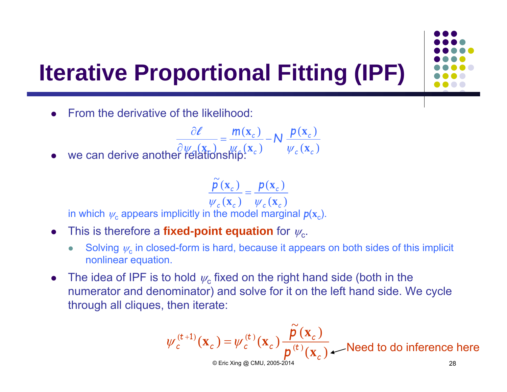# **Iterative Proportional Fitting (IPF)**

0 From the derivative of the likelihood:

can derive another "real<sup>0</sup>(
$$
\frac{\partial \ell}{\partial \psi_c(\mathbf{x}_c)} = \frac{m(\mathbf{x}_c)}{\psi_c(\mathbf{x}_c)} - N \frac{p(\mathbf{x}_c)}{\psi_c(\mathbf{x}_c)}
$$

0  $\bullet$  we can derive another relationship:

$$
\frac{\tilde{\rho}(\mathbf{x}_c)}{\psi_c(\mathbf{x}_c)} = \frac{p(\mathbf{x}_c)}{\psi_c(\mathbf{x}_c)}
$$

in which  $\psi_\text{c}$  appears implicitly in the model marginal  $p(\textbf{x}_\text{c})$ .

- $\bullet$ • This is therefore a **fixed-point equation** for  $\psi_{c}$ .
	- $\bullet$ • Solving  $\psi_c$  in closed-form is hard, because it appears on both sides of this implicit nonlinear equation.
- $\bullet$ • The idea of IPF is to hold  $\psi_{\rm c}$  fixed on the right hand side (both in the numerator and denominator) and solve for it on the left hand side. We cycle through all cliques, then iterate:

$$
\psi_c^{(t+1)}(\mathbf{x}_c) = \psi_c^{(t)}(\mathbf{x}_c) \frac{\tilde{p}(\mathbf{x}_c)}{p^{(t)}(\mathbf{x}_c)} \quad \text{Need to do inference here}
$$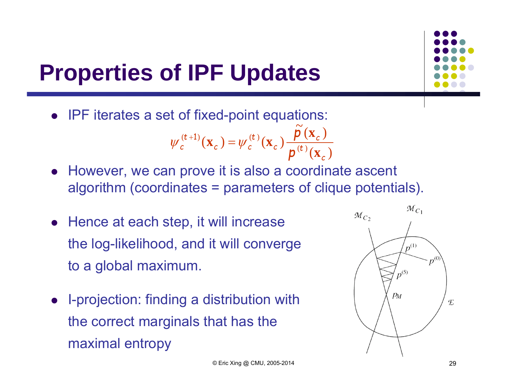

# **Properties of IPF Updates**

• IPF iterates a set of fixed-point equations:

$$
\psi_c^{(t+1)}(\mathbf{x}_c) = \psi_c^{(t)}(\mathbf{x}_c) \frac{\tilde{\rho}(\mathbf{x}_c)}{\rho^{(t)}(\mathbf{x}_c)}
$$

- However, we can prove it is also a coordinate ascent algorithm (coordinates = parameters of clique potentials).
- Hence at each step, it will increase the log-likelihood, and it will converge to a global maximum.
- I-projection: finding a distribution with the correct marginals that has the maximal entropy

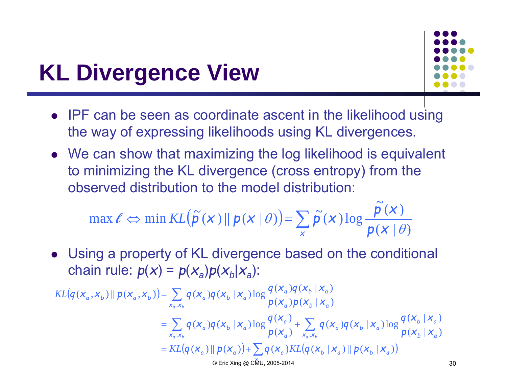#### **KL Divergence View**



- IPF can be seen as coordinate ascent in the likelihood using the way of expressing likelihoods using KL divergences.
- We can show that maximizing the log likelihood is equivalent to minimizing the KL divergence (cross entropy) from the observed distribution to the model distribution:

$$
\max \ell \Leftrightarrow \min KL(\widetilde{p}(x) \| p(x | \theta)) = \sum_{x} \widetilde{p}(x) \log \frac{\widetilde{p}(x)}{p(x | \theta)}
$$

 Using a property of KL divergence based on the conditional  $\mathsf{chain\ rule: } \ \mathsf{p}(\mathsf{x}) = \mathsf{p}(\mathsf{x}_{\scriptscriptstyle{a}}) \mathsf{p}(\mathsf{x}_{\scriptscriptstyle{b}} | \mathsf{x}_{\scriptscriptstyle{a}}) \mathsf{p}(\mathsf{x}_{\scriptscriptstyle{a}})$ 

$$
KL(q(x_a, x_b) || p(x_a, x_b)) = \sum_{x_a, x_b} q(x_a) q(x_b | x_a) \log \frac{q(x_a) q(x_b | x_a)}{p(x_a) p(x_b | x_a)}
$$
  
\n
$$
= \sum_{x_a, x_b} q(x_a) q(x_b | x_a) \log \frac{q(x_a)}{p(x_a)} + \sum_{x_a, x_b} q(x_a) q(x_b | x_a) \log \frac{q(x_b | x_a)}{p(x_b | x_a)}
$$
  
\n
$$
= KL(q(x_a) || p(x_a)) + \sum_{\text{CETic Xing}} q(x_a) KL(q(x_b | x_a) || p(x_b | x_a))
$$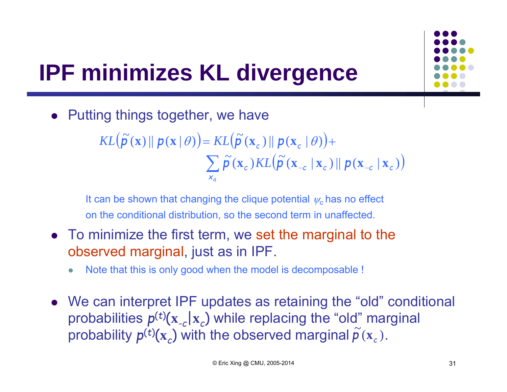

# **IPF minimizes KL divergence**

• Putting things together, we have

 $\left(\widetilde{\boldsymbol{p}}\left(\mathbf{x}\right) \|\boldsymbol{p}\left(\mathbf{x} \mid \theta\right)\right) = KL\left(\widetilde{\boldsymbol{p}}\left(\mathbf{x}_c\right) \|\boldsymbol{p}\left(\mathbf{x}_c \mid \theta\right)\right)$  $\sum \widetilde{\mathbf{p}}(\mathbf{x}_c) KL(\widetilde{\mathbf{p}}(\mathbf{x}_{-c} | \mathbf{x}_c) || \mathbf{p}(\mathbf{x}_{-c} | \mathbf{x}_c))$  $KL(\tilde{p}(\mathbf{x}) \parallel p(\mathbf{x} | \theta)) = KL(\tilde{p}(\mathbf{x}_c) \parallel p(\mathbf{x}_c | \theta)) +$ *xa*

It can be shown that changing the clique potential  $\psi_\mathsf{c}$  has no effect on the conditional distribution, so the second term in unaffected.

- To minimize the first term, we set the marginal to the observed marginal, just as in IPF.
	- $\bullet$ Note that this is only good when the model is decomposable !
- We can interpret IPF updates as retaining the "old" conditional probabilities *p*(*t*) ( **<sup>x</sup>***-c*|**<sup>x</sup>** *c*) while replacing the "old" marginal probability  $p^{(t)}(\bm{\mathrm{x}}_c)$  with the observed marginal  $\widetilde{p}\left(\bm{\mathrm{x}}_c\right)$ .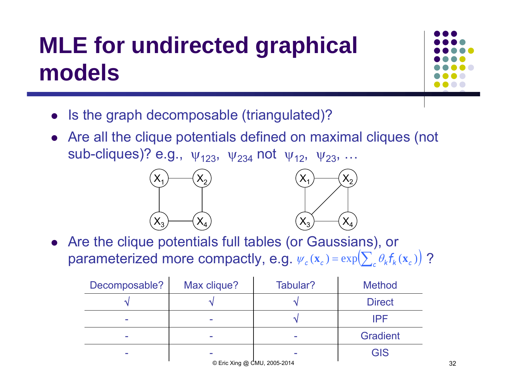# **MLE for undirected graphical models**



- Is the graph decomposable (triangulated)?
- Are all the clique potentials defined on maximal cliques (not sub-cliques)? e.g.,  $\,\mathsf{\psi}_{123}^{},\, \mathsf{\psi}_{234}^{}$  not  $\,\mathsf{\psi}_{12}^{},\, \mathsf{\psi}_{23}^{},\, ...$





 Are the clique potentials full tables (or Gaussians), or parameterized more compactly, e.g.  $\psi_c(\mathbf{x}_c) = \exp\left(\sum_c \theta_k f_k(\mathbf{x}_c)\right)$ ?  $\bigg)$ 

| Decomposable?                | Max clique? | Tabular? | <b>Method</b>   |  |  |  |  |
|------------------------------|-------------|----------|-----------------|--|--|--|--|
|                              |             |          | <b>Direct</b>   |  |  |  |  |
|                              |             |          | IPF             |  |  |  |  |
|                              |             |          | <b>Gradient</b> |  |  |  |  |
|                              |             |          | <b>GIS</b>      |  |  |  |  |
| © Eric Xing @ CMU, 2005-2014 |             |          |                 |  |  |  |  |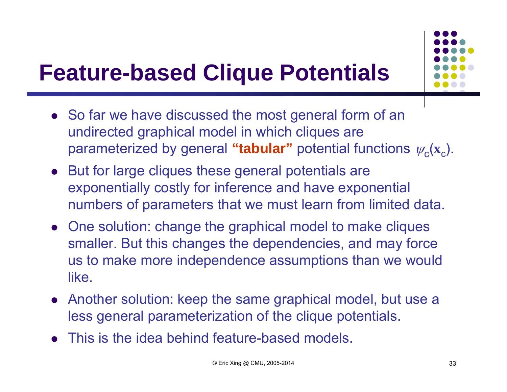#### **Feature-based Clique Potentials**

- So far we have discussed the most general form of an undirected graphical model in which cliques are parameterized by general "**tabular**" potential functions  $\psi_{\texttt{C}}(\textbf{x}_{\texttt{c}})$ .
- But for large cliques these general potentials are exponentially costly for inference and have exponential numbers of parameters that we must learn from limited data.
- One solution: change the graphical model to make cliques smaller. But this changes the dependencies, and may force us to make more independence assumptions than we would like.
- Another solution: keep the same graphical model, but use a less general parameterization of the clique potentials.
- $\bullet$ This is the idea behind feature-based models.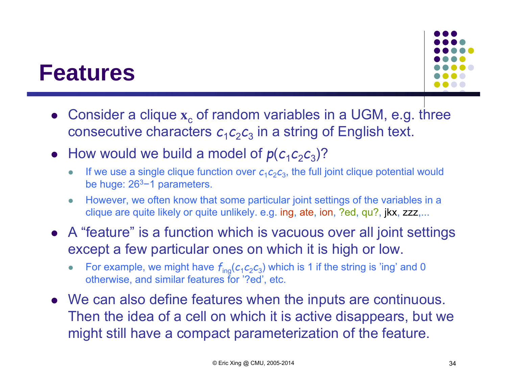#### **Features**



- Consider a clique  $\mathbf{x}_c$  of random variables in a UGM, e.g. three consecutive characters  $\boldsymbol{c}_1\boldsymbol{c}_2\boldsymbol{c}_3$  in a string of English text.
- How would we build a model of  $p(c_1c_2c_3)$ ?
	- $\bullet$ If we use a single clique function over  $c_1c_2c_3$ , the full joint clique potential would be huge: 263−1 parameters.
	- $\bullet$  However, we often know that some particular joint settings of the variables in a clique are quite likely or quite unlikely. e.g. ing, ate, ion, ?ed, qu?, jkx, zzz,...
- A "feature" is a function which is vacuous over all joint settings except a few particular ones on which it is high or low.
	- $\bullet$ For example, we might have  $f_{\text{ing}}(c_1c_2c_3)$  which is 1 if the string is 'ing' and 0 otherwise, and similar features for '?ed', etc.
- We can also define features when the inputs are continuous. Then the idea of a cell on which it is active disappears, but we might still have a compact parameterization of the feature.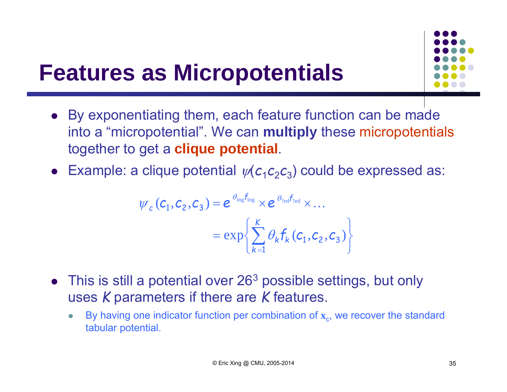

#### **Features as Micropotentials**

- By exponentiating them, each feature function can be made into a "micropotential". We can **multiply** these micropotentials together to get a **clique potential**.
- Example: a clique potential  $\psi(c_1c_2c_3)$  could be expressed as:

$$
\psi_c(\mathbf{C}_1, \mathbf{C}_2, \mathbf{C}_3) = e^{\theta_{\text{ing}} f_{\text{ing}}} \times e^{\theta_{\text{neg}} f_{\text{red}}} \times ...
$$

$$
= \exp\left\{\sum_{k=1}^K \theta_k f_k(c_1, c_2, c_3)\right\}
$$

- This is still a potential over 26<sup>3</sup> possible settings, but only uses *K* parameters if there are *K* features.
	- $\bullet$ • By having one indicator function per combination of  $x_c$ , we recover the standard tabular potential.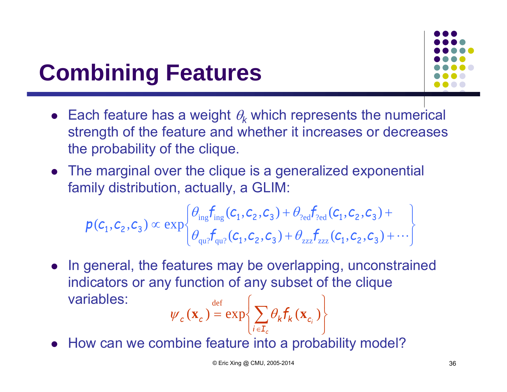# **Combining Features**

- Each feature has a weight  $\theta_k$  which represents the numerical strength of the feature and whether it increases or decreases the probability of the clique.
- The marginal over the clique is a generalized exponential family distribution, actually, a GLIM:

$$
p(c_1, c_2, c_3) \propto \exp \left\{\theta_{\text{ing}} f_{\text{ing}}(c_1, c_2, c_3) + \theta_{\text{red}} f_{\text{red}}(c_1, c_2, c_3) + \theta_{\text{red}} f_{\text{red}}(c_1, c_2, c_3) + \theta_{\text{red}} f_{\text{red}}(c_1, c_2, c_3) + \cdots \right\}
$$

• In general, the features may be overlapping, unconstrained indicators or any function of any subset of the clique variables: $\bigg)$  $\int$ def

$$
\psi_c(\mathbf{x}_c) = \exp\left\{\sum_{i \in \mathbf{I}_c} \theta_k \mathbf{f}_k(\mathbf{x}_{c_i})\right\}
$$

• How can we combine feature into a probability model?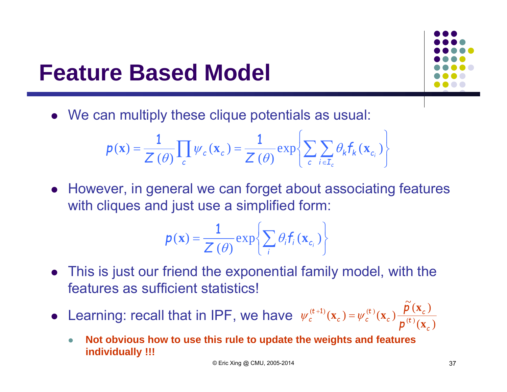#### **Feature Based Model**



We can multiply these clique potentials as usual:

$$
p(\mathbf{x}) = \frac{1}{Z(\theta)} \prod_{c} \psi_c(\mathbf{x}_c) = \frac{1}{Z(\theta)} \exp \left\{ \sum_{c} \sum_{i \in I_c} \theta_k f_k(\mathbf{x}_{c_i}) \right\}
$$

 However, in general we can forget about associating features with cliques and just use a simplified form:

$$
\boldsymbol{p}(\mathbf{x}) = \frac{1}{Z(\theta)} \exp\left\{\sum_{i} \theta_{i} \boldsymbol{f}_{i}(\mathbf{x}_{c_{i}})\right\}
$$

- This is just our friend the exponential family model, with the features as sufficient statistics!
- Learning: recall that in IPF, we have  $({\bf x}_c)$  $\widetilde{\mathsf{D}}\left( \mathbf{x}_{_{C}}\right)$  $\psi_c^{(t+1)}(\mathbf{x}_c) = \psi_c^{(t)}(\mathbf{x}_c) \frac{\mathbf{P}(\mathbf{x}_c)}{\mathbf{n}^{(t)}}$ *c t*  $\frac{r}{c}$  *c*  $\psi_c$ <sup>(t</sup>) =  $\psi_c$ <sup>(t</sup>)  $\psi_c^{(t+1)}(\mathbf{x}_c) = \psi_c^{(t)}(\mathbf{x}_c) - \frac{1}{p}$ *p* **x**  $\psi_c^{(t+1)}(\mathbf{x}_c) = \psi_c^{(t)}(\mathbf{x}_c) - \frac{\mathbf{p}(\mathbf{x})}{\psi_c(\mathbf{x})}$  $^{+1}$ 
	- $\bullet$  **Not obvious how to use this rule to update the weights and features individually !!!**

© Eric Xing @ CMU, 2005-2014 37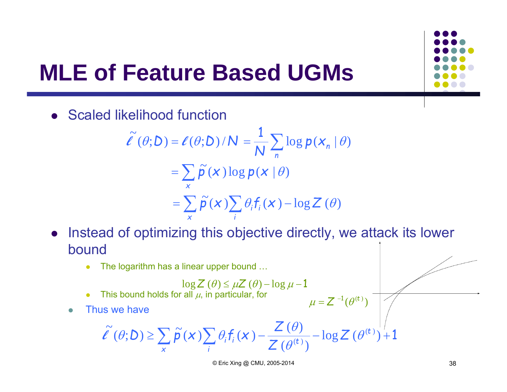#### **MLE of Feature Based UGMs**

**•** Scaled likelihood function

$$
\tilde{\ell}(\theta; D) = \ell(\theta; D) / N = \frac{1}{N} \sum_{n} \log p(x_n | \theta)
$$

$$
= \sum_{x} \tilde{p}(x) \log p(x | \theta)
$$

$$
= \sum_{x} \tilde{p}(x) \sum_{i} \theta_{i} f_{i}(x) - \log Z(\theta)
$$

- Instead of optimizing this objective directly, we attack its lower bound
	- $\bullet$ The logarithm has a linear upper bound …

• This bound holds for all 
$$
\mu
$$
, in particular, for

 $\bullet$ Thus we have

0

$$
\widetilde{\ell}(\theta;\mathbf{D}) \geq \sum_{\mathbf{x}} \widetilde{\mathbf{p}}(\mathbf{x}) \sum_{i} \theta_{i} \mathbf{f}_{i}(\mathbf{x}) - \frac{\mathbf{Z}(\theta)}{\mathbf{Z}(\theta^{(t)})} - \log \mathbf{Z}(\theta^{(t)}) + 1
$$

 $\mu$  =  $Z^{-1}(\theta^{(t)})$  $=Z^{-1}$ 

© Eric Xing @ CMU, 2005-2014 38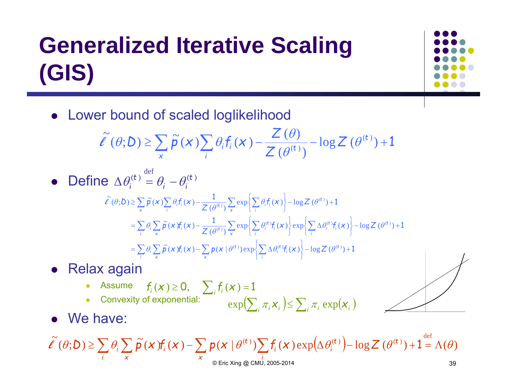# **Generalized Iterative Scaling (GIS)**



Lower bound of scaled loglikelihood

$$
\widetilde{\ell}(\theta; D) \geq \sum_{x} \widetilde{p}(x) \sum_{i} \theta_{i} f_{i}(x) - \frac{Z(\theta)}{Z(\theta^{(t)})} - \log Z(\theta^{(t)}) + 1
$$

• Define 
$$
\Delta \theta_i^{(t)} = \theta_i - \theta_i^{(t)}
$$

$$
\tilde{\ell}(\theta; D) \geq \sum_{x} \tilde{p}(x) \sum_{i} \theta_{i} f_{i}(x) - \frac{1}{Z(\theta^{(t)})} \sum_{x} \exp \left\{ \sum_{i} \theta_{i} f_{i}(x) \right\} - \log Z(\theta^{(t)}) + 1
$$
\n
$$
= \sum_{i} \theta_{i} \sum_{x} \tilde{p}(x) f_{i}(x) - \frac{1}{Z(\theta^{(t)})} \sum_{x} \exp \left\{ \sum_{i} \theta_{i}^{(t)} f_{i}(x) \right\} \exp \left\{ \sum_{i} \Delta \theta_{i}^{(t)} f_{i}(x) \right\} - \log Z(\theta^{(t)}) + 1
$$
\n
$$
= \sum_{i} \theta_{i} \sum_{x} \tilde{p}(x) f_{i}(x) - \sum_{x} p(x | \theta^{(t)}) \exp \left\{ \sum_{i} \Delta \theta_{i}^{(t)} f_{i}(x) \right\} - \log Z(\theta^{(t)}) + 1
$$

● Relax again

• Assume 
$$
f_i(x) \ge 0
$$
,  $\sum_i f_i(x) = 1$ 

• Convexity of exponential: 
$$
\exp(\sum_i \pi_i x_i) \leq \sum_i \pi_i \exp(x_i)
$$



• We have:

 $\bullet$ 

$$
\widetilde{\ell}(\theta; \mathcal{D}) \geq \sum_{i} \theta_{i} \sum_{x} \widetilde{\rho}(x) f_{i}(x) - \sum_{x} p(x | \theta^{(t)}) \sum_{i} f_{i}(x) \exp(\Delta \theta_{i}^{(t)}) - \log Z(\theta^{(t)}) + 1 = \Lambda(\theta)
$$
  
Q Eric Xing @ CMU, 2005-2014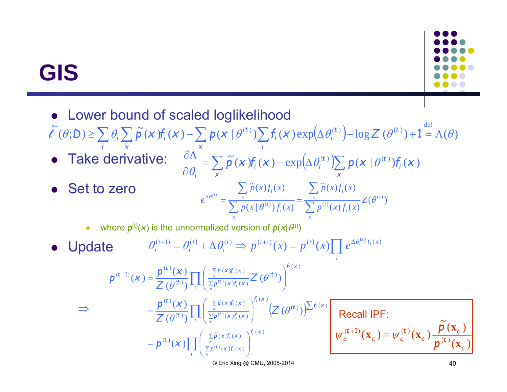#### **GIS**



- Lower bound of scaled loglikelihood
- $(\widetilde{\ell}^{\epsilon}(\theta; D) \geq \sum \theta_i \sum \widetilde{\rho}(\boldsymbol{x}) f_i(\boldsymbol{x}) \sum p(\boldsymbol{x} | \theta^{(t)}) \sum f_i(\boldsymbol{x}) \exp(\Delta \theta_i^{(t)}) \log Z(\theta^{(t)}) + 1 = \Lambda(\theta)$  $\frac{f_i}{i}$   $\left( x \right)$   $\exp \left( \Delta \theta_i^{(t)} \right)$ *t i* $\frac{1}{x}P^{(x)}$  $\ell$   $(\theta; D) \ge \sum \theta_i \sum \tilde{p}(x) f_i(x) - \sum p(x | \theta^{(t)}) \sum f_i(x) \exp(\Delta \theta_i^{(t)}) - \log Z$
- Take derivative:
- $\bullet$ Set to zero

 $\Rightarrow$ 

$$
\frac{\partial \Lambda}{\partial \theta_i}^{\times} = \sum_{x} \widetilde{\rho}(\mathbf{x}) f_i(\mathbf{x}) - \exp\left(\Delta \theta_i^{(t)}\right) \sum_{x} p(\mathbf{x} | \theta^{(t)}) f_i(\mathbf{x})
$$

$$
e^{\Delta \theta_i^{(t)}} = \frac{\sum_{x} \widetilde{p}(x) f_i(x)}{\sum_{x} p(x | \theta^{(t)}) f_i(x)} = \frac{\sum_{x} \widetilde{p}(x) f_i(x)}{\sum_{x} p^{(t)}(x) f_i(x)} Z(\theta^{(t)})
$$

- 0 where  $p^{(t)}(x)$  is the unnormalized version of  $p(x|\theta^{(t)})$
- $\bullet$  Update  $f^{(t+1)} = \theta_i^{(t)} + \Delta \theta_i^{(t)} \implies p^{(t+1)}(x) = p^{(t)}(x) \prod e^{\Delta \theta_i^{(t)} f_i(x)}$ *ii t i t i i*  $\theta_i^{(t+1)} = \theta_i^{(t)} + \Delta \theta_i^{(t)} \implies p^{(t+1)}(x) = p^{(t)}(x) \prod e^{\Delta \theta_i^{(t)} f_i(x)}$

$$
p^{(t+1)}(x) = \frac{p^{(t)}(x)}{Z(\theta^{(t)})} \prod_{i} \left( \frac{\sum\limits_{x} \tilde{p}(x) f_i(x)}{\sum\limits_{x} p^{(t)}(x) f_i(x)} Z(\theta^{(t)}) \right)^{f_i(x)}
$$
  
\n
$$
\Rightarrow \qquad = \frac{p^{(t)}(x)}{Z(\theta^{(t)})} \prod_{i} \left( \frac{\sum\limits_{x} \tilde{p}(x) f_i(x)}{\sum\limits_{x} p^{(t)}(x) f_i(x)} \right)^{f_i(x)} \left( Z(\theta^{(t)}) \right)^{Y_i(x)}
$$
  
\n
$$
= p^{(t)}(x) \prod_{i} \left( \frac{\sum\limits_{x} \tilde{p}(x) f_i(x)}{\sum\limits_{x} p^{(t)}(x) f_i(x)} \right)^{f_i(x)}
$$

 $\tilde{\rho}^{(t+1)}(\mathbf{x}_c) = \psi_c^{(t)}(\mathbf{x}_c) \frac{\tilde{\rho}(\mathbf{x}_c)}{\mathbf{n}^{(t)}(\mathbf{x}_c)}$ *t*  $\frac{1}{c}$  *c*  $\psi_c$ <sup> $(t)$ </sup>  $\psi_c^{(t+1)}(\mathbf{x}_c) = \psi_c^{(t)}(\mathbf{x}_c) - \frac{1}{p}$ *p*  $\psi_c^{(t+1)}(\mathbf{x}_c) = \psi_c^{(t)}(\mathbf{x}_c) - \frac{\boldsymbol{p}(\mathbf{x})}{\|\mathbf{x}\|_2}$ Recall IPF:

© Eric Xing @ CMU, 2005-2014 40

 $({\bf x}_{\epsilon})$ 

**x**

*c*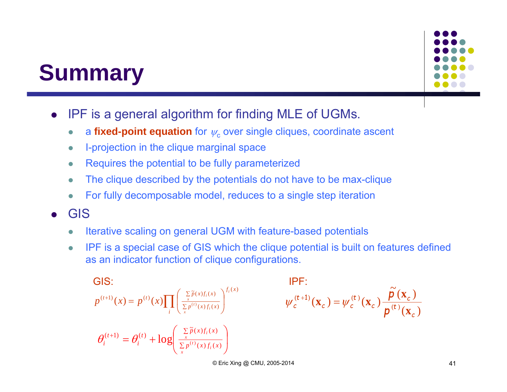#### **Summary**



- $\bullet$  IPF is a general algorithm for finding MLE of UGMs.
	- $\bullet$ **• a fixed-point equation** for  $\psi_c$  over single cliques, coordinate ascent
	- $\bullet$ I-projection in the clique marginal space
	- $\bullet$ Requires the potential to be fully parameterized
	- $\bullet$ The clique described by the potentials do not have to be max-clique
	- $\bullet$ For fully decomposable model, reduces to a single step iteration
- 0 GIS
	- $\bullet$ Iterative scaling on general UGM with feature-based potentials
	- $\bullet$  IPF is a special case of GIS which the clique potential is built on features defined as an indicator function of clique configurations.

**GIS:**

\n
$$
p^{(t+1)}(x) = p^{(t)}(x) \prod_{i} \left( \frac{\sum\limits_{x} \tilde{p}(x) f_i(x)}{\sum\limits_{x} p^{(t)}(x) f_i(x)} \right)^{f_i(x)} \qquad \psi_c^{(t+1)}(\mathbf{x}_c) = \psi_c^{(t)}(\mathbf{x}_c) \frac{\tilde{p}(\mathbf{x}_c)}{p^{(t)}(\mathbf{x}_c)}
$$
\n
$$
\theta_i^{(t+1)} = \theta_i^{(t)} + \log \left( \frac{\sum\limits_{x} \tilde{p}(x) f_i(x)}{\sum\limits_{x} p^{(t)}(x) f_i(x)} \right)
$$

$$
\psi_c^{(t+1)}(\mathbf{x}_c) = \psi_c^{(t)}(\mathbf{x}_c) \frac{\tilde{\rho}(\mathbf{x}_c)}{\rho^{(t)}(\mathbf{x}_c)}
$$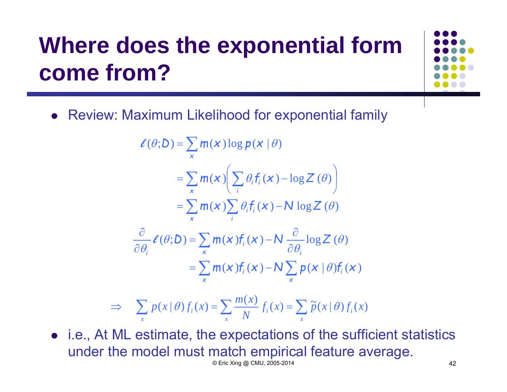# **Where does the exponential form come from?**



• Review: Maximum Likelihood for exponential family

$$
\ell(\theta; D) = \sum_{x} m(x) \log p(x | \theta)
$$
  
\n
$$
= \sum_{x} m(x) \left( \sum_{i} \theta_{i} f_{i}(x) - \log Z(\theta) \right)
$$
  
\n
$$
= \sum_{x} m(x) \sum_{i} \theta_{i} f_{i}(x) - N \log Z(\theta)
$$
  
\n
$$
\frac{\partial}{\partial \theta_{i}} \ell(\theta; D) = \sum_{x} m(x) f_{i}(x) - N \frac{\partial}{\partial \theta_{i}} \log Z(\theta)
$$
  
\n
$$
= \sum_{x} m(x) f_{i}(x) - N \sum_{x} p(x | \theta) f_{i}(x)
$$

$$
\Rightarrow \sum_{x} p(x | \theta) f_i(x) = \sum_{x} \frac{m(x)}{N} f_i(x) = \sum_{x} \tilde{p}(x | \theta) f_i(x)
$$

 i.e., At ML estimate, the expectations of the sufficient statistics under the model must match empirical feature average. © Eric Xing @ CMU, 2005-2014 42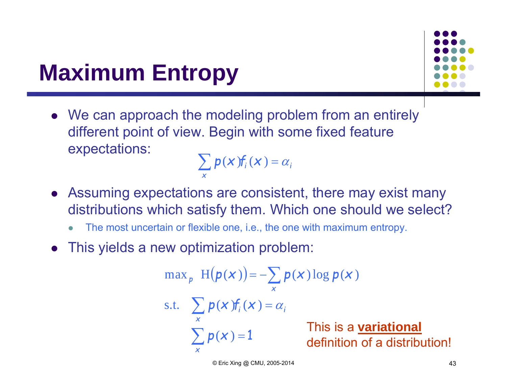#### **Maximum Entropy**

 We can approach the modeling problem from an entirely different point of view. Begin with some fixed feature expectations:

*i i x* $\sum p(x) f_i(x) = \alpha$ 

- Assuming expectations are consistent, there may exist many distributions which satisfy them. Which one should we select?
	- $\bullet$ The most uncertain or flexible one, i.e., the one with maximum entropy.
- This yields a new optimization problem:

$$
\max_{p} H(p(x)) = -\sum_{x} p(x) \log p(x)
$$
  
s.t. 
$$
\sum_{x} p(x) f_{i}(x) = \alpha_{i}
$$
  
This is a **variation**  

$$
\sum_{x} p(x) = 1
$$

nal tribution!

© Eric Xing @ CMU, 2005-2014 43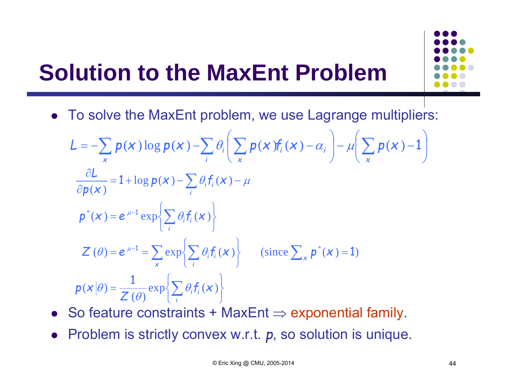#### **Solution to the MaxEnt Problem**



$$
L = -\sum_{x} p(x) \log p(x) - \sum_{i} \theta_{i} \left( \sum_{x} p(x) f_{i}(x) - \alpha_{i} \right) - \mu \left( \sum_{x} p(x) - 1 \right)
$$
  
\n
$$
\frac{\partial L}{\partial p(x)} = 1 + \log p(x) - \sum_{i} \theta_{i} f_{i}(x) - \mu
$$
  
\n
$$
p^{*}(x) = e^{\mu - 1} \exp \left\{ \sum_{i} \theta_{i} f_{i}(x) \right\}
$$
  
\n
$$
Z(\theta) = e^{\mu - 1} = \sum_{x} \exp \left\{ \sum_{i} \theta_{i} f_{i}(x) \right\} \qquad (\text{since } \sum_{x} p^{*}(x) = 1)
$$
  
\n
$$
p(x|\theta) = \frac{1}{Z(\theta)} \exp \left\{ \sum_{i} \theta_{i} f_{i}(x) \right\}
$$

- $\bullet~$  So feature constraints + MaxEnt  $\Rightarrow$  exponential family.
- Problem is strictly convex w.r.t. *p*, so solution is unique.

 $\overline{\phantom{a}}$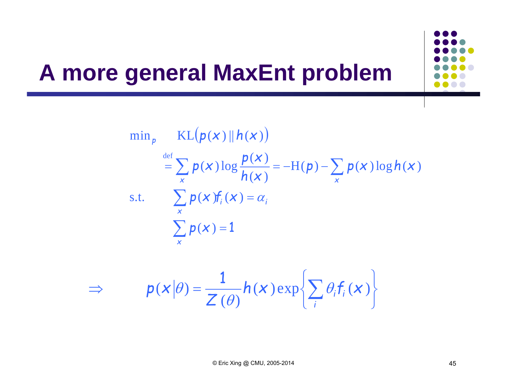$\min_{p}$   $KL(p(x) || h(x))$  $\sum$  $\sum$  $\sum_{\alpha} p(x) \log \frac{p(x)}{p(x)} = -H(p) - \sum_{\alpha}$  $p(x)=1$  $i_i$  ( $\boldsymbol{\chi}$  ) =  $\alpha_i$  $=$   $\rightarrow$   $p(X)$  10g  $\rightarrow$   $=$   $\pi(p)$   $$ *xx x x* s.t.  $\sum p(x)f_i(x) = \alpha$  $\frac{p(x)}{h(x)} = -H(p) - \sum_{x} p(x) \log h(x)$  $p(x) \log \frac{p(x)}{p(x)} = -H(p) - \sum p(x) \log h(x)$  $(\boldsymbol{\mathsf{X}})$  $(\boldsymbol{\mathsf{X}})$  $({\boldsymbol{\mathsf{x}}}\,)$   $\log$ def

$$
\Rightarrow \qquad p(x|\theta) = \frac{1}{Z(\theta)} h(x) \exp\left\{\sum_{i} \theta_{i} f_{i}(x)\right\}
$$

**A more general MaxEnt problem**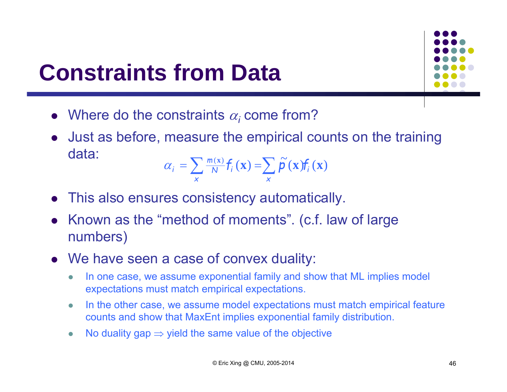#### **Constraints from Data**



 Just as before, measure the empirical counts on the training data:~

$$
\alpha_{i} = \sum_{x} \frac{m(x)}{N} f_{i}(\mathbf{x}) = \sum_{x} \widetilde{\mathbf{p}}(\mathbf{x}) f_{i}(\mathbf{x})
$$

- $\bullet$ This also ensures consistency automatically.
- $\bullet$  Known as the "method of moments". (c.f. law of large numbers)
- We have seen a case of convex duality:
	- $\bullet$  In one case, we assume exponential family and show that ML implies model expectations must match empirical expectations.
	- $\bullet$  In the other case, we assume model expectations must match empirical feature counts and show that MaxEnt implies exponential family distribution.
	- $\bullet$ • No duality gap  $\Rightarrow$  yield the same value of the objective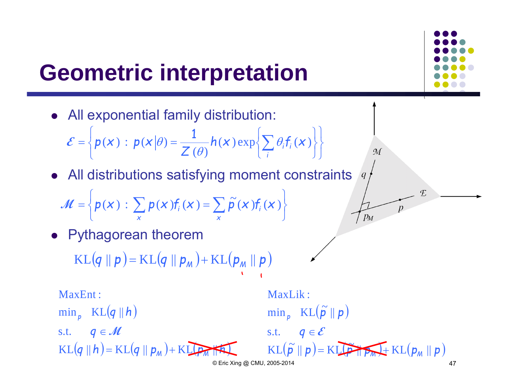#### **Geometric interpretation**



$$
\mathcal{M} = \left\{ p(x) : \sum_{x} p(x) f_i(x) = \sum_{x} \widetilde{p}(x) f_i(x) \right\}
$$

 $\bullet$ Pythagorean theorem

> $\text{KL}(q \parallel p)$ =  $=$  KL $(q \parallel p_{\scriptscriptstyle M})$  + KL $(p_{\scriptscriptstyle M} \parallel p)$

MaxEnt :

 $\min_{p}$   $KL(q||h)$  $KL(q || h) = KL(q || p_M) + KL(p_M|| A)$ s.t.  $q \in M$ *h*

$$
\begin{array}{ll}\n\text{MaxLik:} \\
\min_{p} & \text{KL}(\tilde{p} \parallel p) \\
\text{s.t.} & q \in \mathcal{E} \\
\hline\n\text{KL}(\tilde{p} \parallel p) = \text{KL}(p) + \text{KL}(p_M \parallel p) \\
\text{Q Eric Xing @ CMU, 2005-2014}\n\end{array}
$$

 $\mathcal{M}$ 

 $7 p_M$ 

E

 $\boldsymbol{p}$